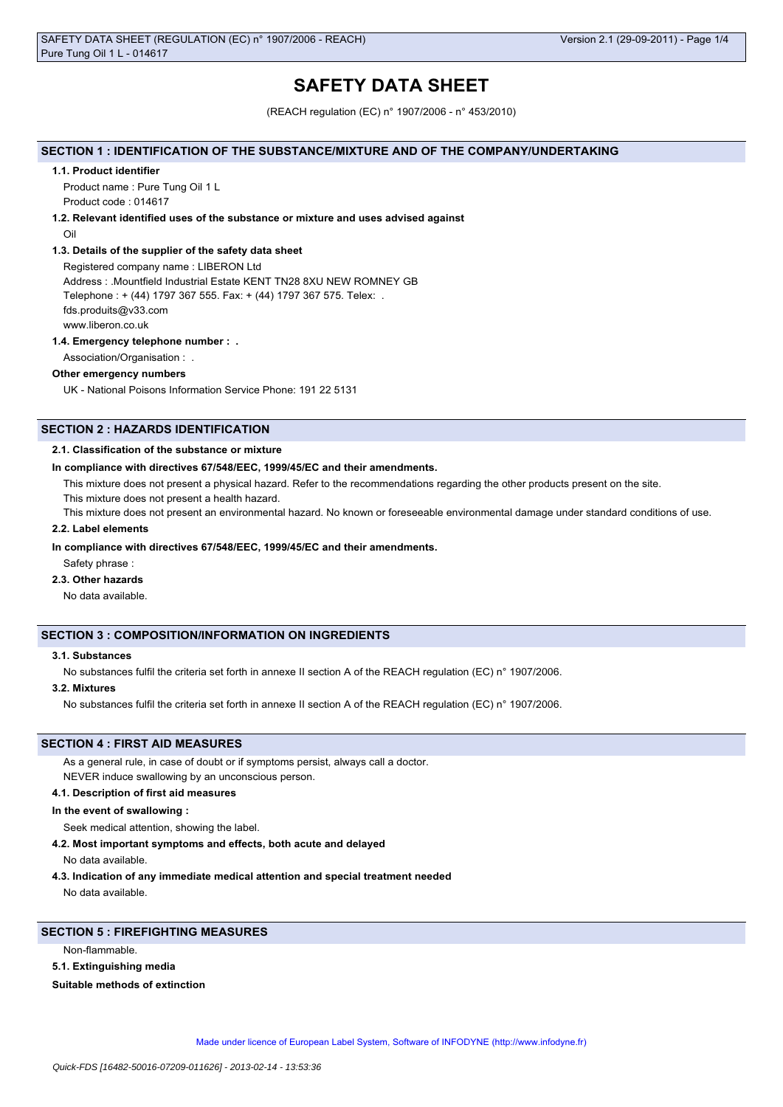# **SAFETY DATA SHEET**

(REACH regulation (EC) n° 1907/2006 - n° 453/2010)

#### **SECTION 1 : IDENTIFICATION OF THE SUBSTANCE/MIXTURE AND OF THE COMPANY/UNDERTAKING**

#### **1.1. Product identifier**

Product name : Pure Tung Oil 1 L Product code : 014617

## **1.2. Relevant identified uses of the substance or mixture and uses advised against**

Oil

## **1.3. Details of the supplier of the safety data sheet**

Registered company name : LIBERON Ltd Address : .Mountfield Industrial Estate KENT TN28 8XU NEW ROMNEY GB Telephone : + (44) 1797 367 555. Fax: + (44) 1797 367 575. Telex: . fds.produits@v33.com www.liberon.co.uk

#### **1.4. Emergency telephone number : .**

Association/Organisation : .

# **Other emergency numbers**

UK - National Poisons Information Service Phone: 191 22 5131

# **SECTION 2 : HAZARDS IDENTIFICATION**

#### **2.1. Classification of the substance or mixture**

#### **In compliance with directives 67/548/EEC, 1999/45/EC and their amendments.**

This mixture does not present a physical hazard. Refer to the recommendations regarding the other products present on the site.

This mixture does not present a health hazard.

This mixture does not present an environmental hazard. No known or foreseeable environmental damage under standard conditions of use.

#### **2.2. Label elements**

#### **In compliance with directives 67/548/EEC, 1999/45/EC and their amendments.**

Safety phrase :

# **2.3. Other hazards**

No data available.

## **SECTION 3 : COMPOSITION/INFORMATION ON INGREDIENTS**

## **3.1. Substances**

No substances fulfil the criteria set forth in annexe II section A of the REACH regulation (EC) n° 1907/2006.

#### **3.2. Mixtures**

No substances fulfil the criteria set forth in annexe II section A of the REACH regulation (EC) n° 1907/2006.

## **SECTION 4 : FIRST AID MEASURES**

As a general rule, in case of doubt or if symptoms persist, always call a doctor.

NEVER induce swallowing by an unconscious person.

# **4.1. Description of first aid measures**

**In the event of swallowing :**

Seek medical attention, showing the label.

**4.2. Most important symptoms and effects, both acute and delayed**

No data available.

**4.3. Indication of any immediate medical attention and special treatment needed** No data available.

## **SECTION 5 : FIREFIGHTING MEASURES**

Non-flammable.

#### **5.1. Extinguishing media**

#### **Suitable methods of extinction**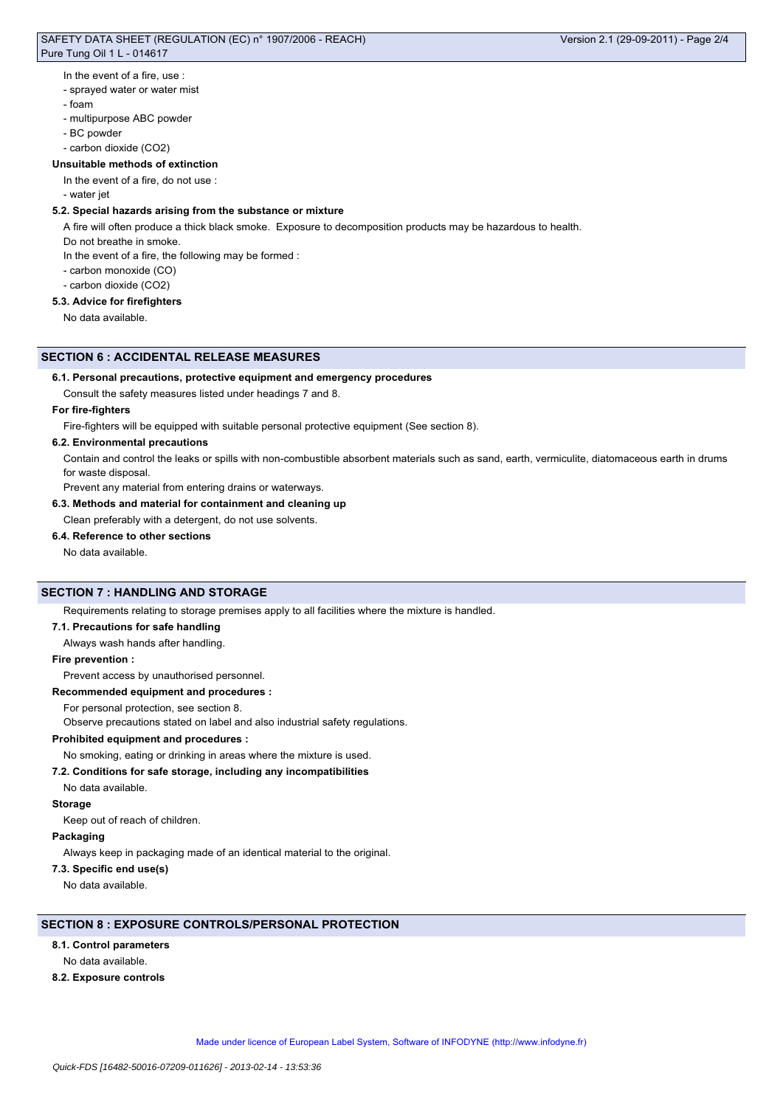# SAFETY DATA SHEET (REGULATION (EC) n° 1907/2006 - REACH) Pure Tung Oil 1 L - 014617

#### In the event of a fire, use :

- sprayed water or water mist
- foam
- multipurpose ABC powder
- BC powder
- carbon dioxide (CO2)

# **Unsuitable methods of extinction**

- In the event of a fire, do not use :
- water jet

# **5.2. Special hazards arising from the substance or mixture**

A fire will often produce a thick black smoke. Exposure to decomposition products may be hazardous to health.

- Do not breathe in smoke.
- In the event of a fire, the following may be formed :
- carbon monoxide (CO)
- carbon dioxide (CO2)

# **5.3. Advice for firefighters**

No data available.

#### **SECTION 6 : ACCIDENTAL RELEASE MEASURES**

#### **6.1. Personal precautions, protective equipment and emergency procedures**

Consult the safety measures listed under headings 7 and 8.

#### **For fire-fighters**

Fire-fighters will be equipped with suitable personal protective equipment (See section 8).

#### **6.2. Environmental precautions**

Contain and control the leaks or spills with non-combustible absorbent materials such as sand, earth, vermiculite, diatomaceous earth in drums for waste disposal.

Prevent any material from entering drains or waterways.

**6.3. Methods and material for containment and cleaning up**

## Clean preferably with a detergent, do not use solvents.

## **6.4. Reference to other sections**

No data available.

## **SECTION 7 : HANDLING AND STORAGE**

Requirements relating to storage premises apply to all facilities where the mixture is handled.

#### **7.1. Precautions for safe handling**

Always wash hands after handling.

#### **Fire prevention :**

Prevent access by unauthorised personnel.

#### **Recommended equipment and procedures :**

For personal protection, see section 8.

Observe precautions stated on label and also industrial safety regulations.

## **Prohibited equipment and procedures :**

No smoking, eating or drinking in areas where the mixture is used.

#### **7.2. Conditions for safe storage, including any incompatibilities**

No data available.

#### **Storage**

Keep out of reach of children.

#### **Packaging**

Always keep in packaging made of an identical material to the original.

# **7.3. Specific end use(s)**

No data available.

## **SECTION 8 : EXPOSURE CONTROLS/PERSONAL PROTECTION**

#### **8.1. Control parameters**

No data available.

**8.2. Exposure controls**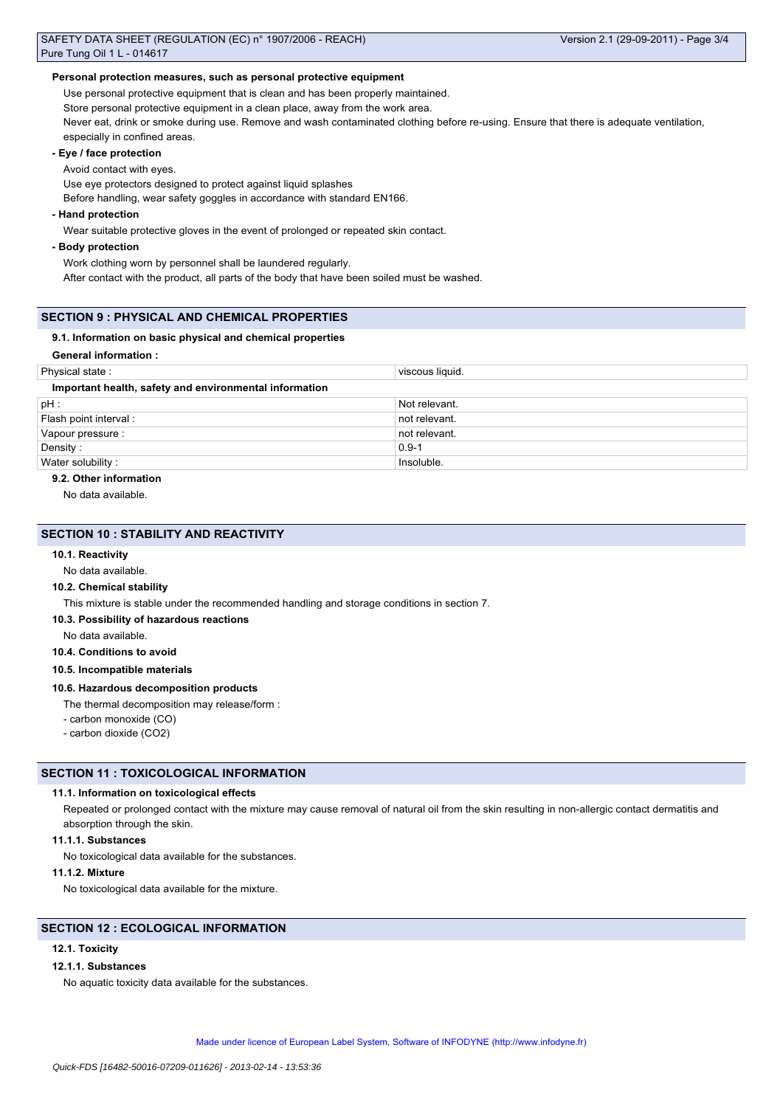## **Personal protection measures, such as personal protective equipment**

Use personal protective equipment that is clean and has been properly maintained.

Store personal protective equipment in a clean place, away from the work area.

Never eat, drink or smoke during use. Remove and wash contaminated clothing before re-using. Ensure that there is adequate ventilation, especially in confined areas.

## **- Eye / face protection**

Avoid contact with eyes.

Use eye protectors designed to protect against liquid splashes

Before handling, wear safety goggles in accordance with standard EN166.

## **- Hand protection**

Wear suitable protective gloves in the event of prolonged or repeated skin contact.

## **- Body protection**

Work clothing worn by personnel shall be laundered regularly.

After contact with the product, all parts of the body that have been soiled must be washed.

## **SECTION 9 : PHYSICAL AND CHEMICAL PROPERTIES**

#### **9.1. Information on basic physical and chemical properties**

## **General information :**

| Physical state:                                        | viscous liquid. |
|--------------------------------------------------------|-----------------|
| Important health, safety and environmental information |                 |
| $pH$ :                                                 | Not relevant.   |
| Flash point interval :                                 | not relevant.   |
| Vapour pressure :                                      | not relevant.   |
| Density:                                               | $0.9 - 1$       |
| Water solubility:                                      | Insoluble.      |

#### **9.2. Other information**

No data available.

## **SECTION 10 : STABILITY AND REACTIVITY**

#### **10.1. Reactivity**

No data available.

#### **10.2. Chemical stability**

This mixture is stable under the recommended handling and storage conditions in section 7.

**10.3. Possibility of hazardous reactions**

No data available.

**10.4. Conditions to avoid**

**10.5. Incompatible materials**

#### **10.6. Hazardous decomposition products**

The thermal decomposition may release/form :

- carbon monoxide (CO)

- carbon dioxide (CO2)

## **SECTION 11 : TOXICOLOGICAL INFORMATION**

## **11.1. Information on toxicological effects**

Repeated or prolonged contact with the mixture may cause removal of natural oil from the skin resulting in non-allergic contact dermatitis and absorption through the skin.

## **11.1.1. Substances**

No toxicological data available for the substances.

## **11.1.2. Mixture**

No toxicological data available for the mixture.

# **SECTION 12 : ECOLOGICAL INFORMATION**

## **12.1. Toxicity**

## **12.1.1. Substances**

No aquatic toxicity data available for the substances.